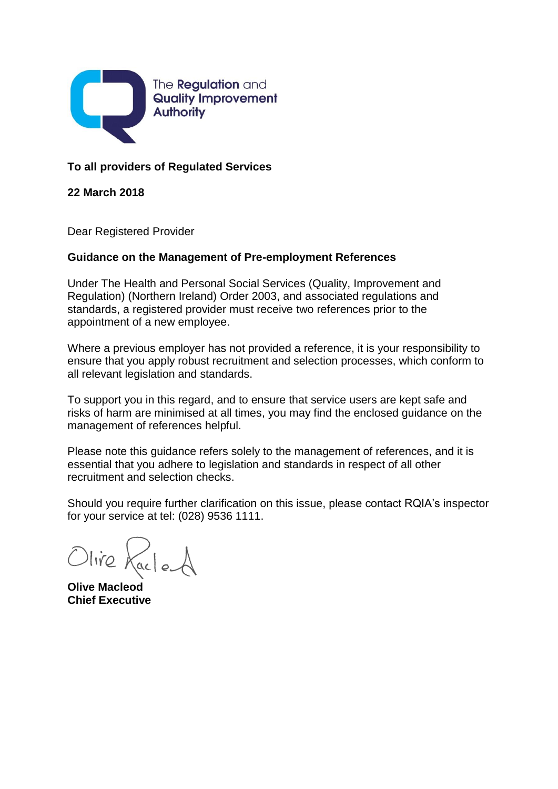

## **To all providers of Regulated Services**

**22 March 2018**

Dear Registered Provider

## **Guidance on the Management of Pre-employment References**

Under The Health and Personal Social Services (Quality, Improvement and Regulation) (Northern Ireland) Order 2003, and associated regulations and standards, a registered provider must receive two references prior to the appointment of a new employee.

Where a previous employer has not provided a reference, it is your responsibility to ensure that you apply robust recruitment and selection processes, which conform to all relevant legislation and standards.

To support you in this regard, and to ensure that service users are kept safe and risks of harm are minimised at all times, you may find the enclosed guidance on the management of references helpful.

Please note this guidance refers solely to the management of references, and it is essential that you adhere to legislation and standards in respect of all other recruitment and selection checks.

Should you require further clarification on this issue, please contact RQIA's inspector for your service at tel: (028) 9536 1111.

Olive KacleA

**Olive Macleod Chief Executive**